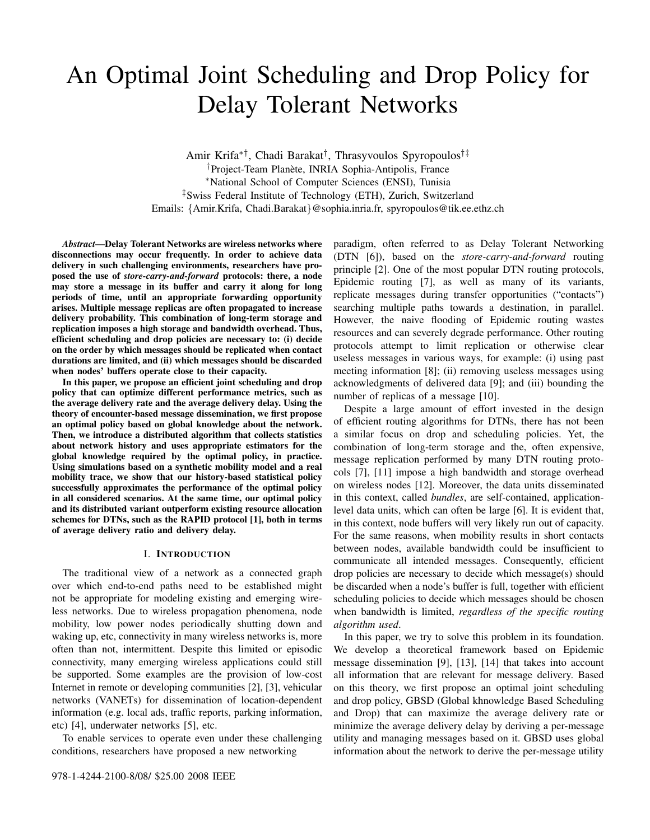# An Optimal Joint Scheduling and Drop Policy for Delay Tolerant Networks

Amir Krifa∗†, Chadi Barakat† , Thrasyvoulos Spyropoulos†‡ <sup>†</sup>Project-Team Planète, INRIA Sophia-Antipolis, France <sup>∗</sup>National School of Computer Sciences (ENSI), Tunisia ‡Swiss Federal Institute of Technology (ETH), Zurich, Switzerland Emails: {Amir.Krifa, Chadi.Barakat}@sophia.inria.fr, spyropoulos@tik.ee.ethz.ch

*Abstract*—Delay Tolerant Networks are wireless networks where disconnections may occur frequently. In order to achieve data delivery in such challenging environments, researchers have proposed the use of *store-carry-and-forward* protocols: there, a node may store a message in its buffer and carry it along for long periods of time, until an appropriate forwarding opportunity arises. Multiple message replicas are often propagated to increase delivery probability. This combination of long-term storage and replication imposes a high storage and bandwidth overhead. Thus, efficient scheduling and drop policies are necessary to: (i) decide on the order by which messages should be replicated when contact durations are limited, and (ii) which messages should be discarded when nodes' buffers operate close to their capacity.

In this paper, we propose an efficient joint scheduling and drop policy that can optimize different performance metrics, such as the average delivery rate and the average delivery delay. Using the theory of encounter-based message dissemination, we first propose an optimal policy based on global knowledge about the network. Then, we introduce a distributed algorithm that collects statistics about network history and uses appropriate estimators for the global knowledge required by the optimal policy, in practice. Using simulations based on a synthetic mobility model and a real mobility trace, we show that our history-based statistical policy successfully approximates the performance of the optimal policy in all considered scenarios. At the same time, our optimal policy and its distributed variant outperform existing resource allocation schemes for DTNs, such as the RAPID protocol [1], both in terms of average delivery ratio and delivery delay.

## I. INTRODUCTION

The traditional view of a network as a connected graph over which end-to-end paths need to be established might not be appropriate for modeling existing and emerging wireless networks. Due to wireless propagation phenomena, node mobility, low power nodes periodically shutting down and waking up, etc, connectivity in many wireless networks is, more often than not, intermittent. Despite this limited or episodic connectivity, many emerging wireless applications could still be supported. Some examples are the provision of low-cost Internet in remote or developing communities [2], [3], vehicular networks (VANETs) for dissemination of location-dependent information (e.g. local ads, traffic reports, parking information, etc) [4], underwater networks [5], etc.

To enable services to operate even under these challenging conditions, researchers have proposed a new networking

paradigm, often referred to as Delay Tolerant Networking (DTN [6]), based on the *store-carry-and-forward* routing principle [2]. One of the most popular DTN routing protocols, Epidemic routing [7], as well as many of its variants, replicate messages during transfer opportunities ("contacts") searching multiple paths towards a destination, in parallel. However, the naive flooding of Epidemic routing wastes resources and can severely degrade performance. Other routing protocols attempt to limit replication or otherwise clear useless messages in various ways, for example: (i) using past meeting information [8]; (ii) removing useless messages using acknowledgments of delivered data [9]; and (iii) bounding the number of replicas of a message [10].

Despite a large amount of effort invested in the design of efficient routing algorithms for DTNs, there has not been a similar focus on drop and scheduling policies. Yet, the combination of long-term storage and the, often expensive, message replication performed by many DTN routing protocols [7], [11] impose a high bandwidth and storage overhead on wireless nodes [12]. Moreover, the data units disseminated in this context, called *bundles*, are self-contained, applicationlevel data units, which can often be large [6]. It is evident that, in this context, node buffers will very likely run out of capacity. For the same reasons, when mobility results in short contacts between nodes, available bandwidth could be insufficient to communicate all intended messages. Consequently, efficient drop policies are necessary to decide which message(s) should be discarded when a node's buffer is full, together with efficient scheduling policies to decide which messages should be chosen when bandwidth is limited, *regardless of the specific routing algorithm used*.

In this paper, we try to solve this problem in its foundation. We develop a theoretical framework based on Epidemic message dissemination [9], [13], [14] that takes into account all information that are relevant for message delivery. Based on this theory, we first propose an optimal joint scheduling and drop policy, GBSD (Global khnowledge Based Scheduling and Drop) that can maximize the average delivery rate or minimize the average delivery delay by deriving a per-message utility and managing messages based on it. GBSD uses global information about the network to derive the per-message utility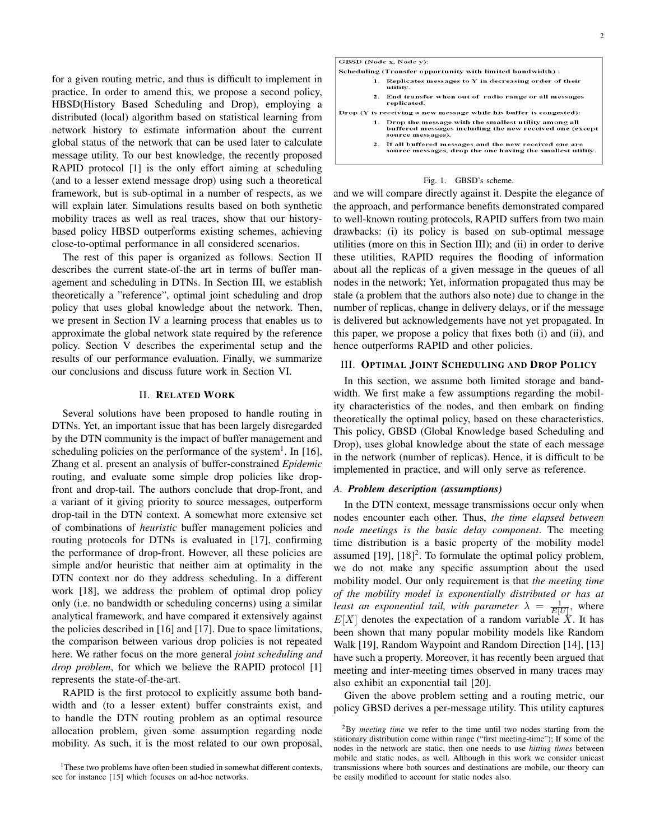for a given routing metric, and thus is difficult to implement in practice. In order to amend this, we propose a second policy, HBSD(History Based Scheduling and Drop), employing a distributed (local) algorithm based on statistical learning from network history to estimate information about the current global status of the network that can be used later to calculate message utility. To our best knowledge, the recently proposed RAPID protocol [1] is the only effort aiming at scheduling (and to a lesser extend message drop) using such a theoretical framework, but is sub-optimal in a number of respects, as we will explain later. Simulations results based on both synthetic mobility traces as well as real traces, show that our historybased policy HBSD outperforms existing schemes, achieving close-to-optimal performance in all considered scenarios.

The rest of this paper is organized as follows. Section II describes the current state-of-the art in terms of buffer management and scheduling in DTNs. In Section III, we establish theoretically a "reference", optimal joint scheduling and drop policy that uses global knowledge about the network. Then, we present in Section IV a learning process that enables us to approximate the global network state required by the reference policy. Section V describes the experimental setup and the results of our performance evaluation. Finally, we summarize our conclusions and discuss future work in Section VI.

### II. RELATED WORK

Several solutions have been proposed to handle routing in DTNs. Yet, an important issue that has been largely disregarded by the DTN community is the impact of buffer management and scheduling policies on the performance of the system<sup>1</sup>. In [16], Zhang et al. present an analysis of buffer-constrained *Epidemic* routing, and evaluate some simple drop policies like dropfront and drop-tail. The authors conclude that drop-front, and a variant of it giving priority to source messages, outperform drop-tail in the DTN context. A somewhat more extensive set of combinations of *heuristic* buffer management policies and routing protocols for DTNs is evaluated in [17], confirming the performance of drop-front. However, all these policies are simple and/or heuristic that neither aim at optimality in the DTN context nor do they address scheduling. In a different work [18], we address the problem of optimal drop policy only (i.e. no bandwidth or scheduling concerns) using a similar analytical framework, and have compared it extensively against the policies described in [16] and [17]. Due to space limitations, the comparison between various drop policies is not repeated here. We rather focus on the more general *joint scheduling and drop problem*, for which we believe the RAPID protocol [1] represents the state-of-the-art.

RAPID is the first protocol to explicitly assume both bandwidth and (to a lesser extent) buffer constraints exist, and to handle the DTN routing problem as an optimal resource allocation problem, given some assumption regarding node mobility. As such, it is the most related to our own proposal,

| GBSD (Node x, Node y):                                                                                                                   |  |  |  |  |  |
|------------------------------------------------------------------------------------------------------------------------------------------|--|--|--|--|--|
| Scheduling (Transfer opportunity with limited bandwidth):                                                                                |  |  |  |  |  |
| Replicates messages to $Y$ in decreasing order of their<br>1.<br>utility.                                                                |  |  |  |  |  |
| End transfer when out of radio range or all messages<br>2 <sup>1</sup><br>replicated.                                                    |  |  |  |  |  |
| $Drop(Y is receiving a new message while his buffer is congested):$                                                                      |  |  |  |  |  |
| 1. Drop the message with the smallest utility among all<br>buffered messages including the new received one (except<br>source messages). |  |  |  |  |  |
| 2. If all buffered messages and the new received one are<br>source messages, drop the one having the smallest utility.                   |  |  |  |  |  |
|                                                                                                                                          |  |  |  |  |  |

### Fig. 1. GBSD's scheme.

and we will compare directly against it. Despite the elegance of the approach, and performance benefits demonstrated compared to well-known routing protocols, RAPID suffers from two main drawbacks: (i) its policy is based on sub-optimal message utilities (more on this in Section III); and (ii) in order to derive these utilities, RAPID requires the flooding of information about all the replicas of a given message in the queues of all nodes in the network; Yet, information propagated thus may be stale (a problem that the authors also note) due to change in the number of replicas, change in delivery delays, or if the message is delivered but acknowledgements have not yet propagated. In this paper, we propose a policy that fixes both (i) and (ii), and hence outperforms RAPID and other policies.

### III. OPTIMAL JOINT SCHEDULING AND DROP POLICY

In this section, we assume both limited storage and bandwidth. We first make a few assumptions regarding the mobility characteristics of the nodes, and then embark on finding theoretically the optimal policy, based on these characteristics. This policy, GBSD (Global Knowledge based Scheduling and Drop), uses global knowledge about the state of each message in the network (number of replicas). Hence, it is difficult to be implemented in practice, and will only serve as reference.

### *A. Problem description (assumptions)*

In the DTN context, message transmissions occur only when nodes encounter each other. Thus, *the time elapsed between node meetings is the basic delay component*. The meeting time distribution is a basic property of the mobility model assumed  $[19]$ ,  $[18]<sup>2</sup>$ . To formulate the optimal policy problem, we do not make any specific assumption about the used mobility model. Our only requirement is that *the meeting time of the mobility model is exponentially distributed or has at least an exponential tail, with parameter*  $\lambda = \frac{1}{E[U]}$ , where  $E[X]$  denotes the expectation of a random variable X. It has been shown that many popular mobility models like Random Walk [19], Random Waypoint and Random Direction [14], [13] have such a property. Moreover, it has recently been argued that meeting and inter-meeting times observed in many traces may also exhibit an exponential tail [20].

Given the above problem setting and a routing metric, our policy GBSD derives a per-message utility. This utility captures

<sup>&</sup>lt;sup>1</sup>These two problems have often been studied in somewhat different contexts, see for instance [15] which focuses on ad-hoc networks.

<sup>2</sup>By *meeting time* we refer to the time until two nodes starting from the stationary distribution come within range ("first meeting-time"); If some of the nodes in the network are static, then one needs to use *hitting times* between mobile and static nodes, as well. Although in this work we consider unicast transmissions where both sources and destinations are mobile, our theory can be easily modified to account for static nodes also.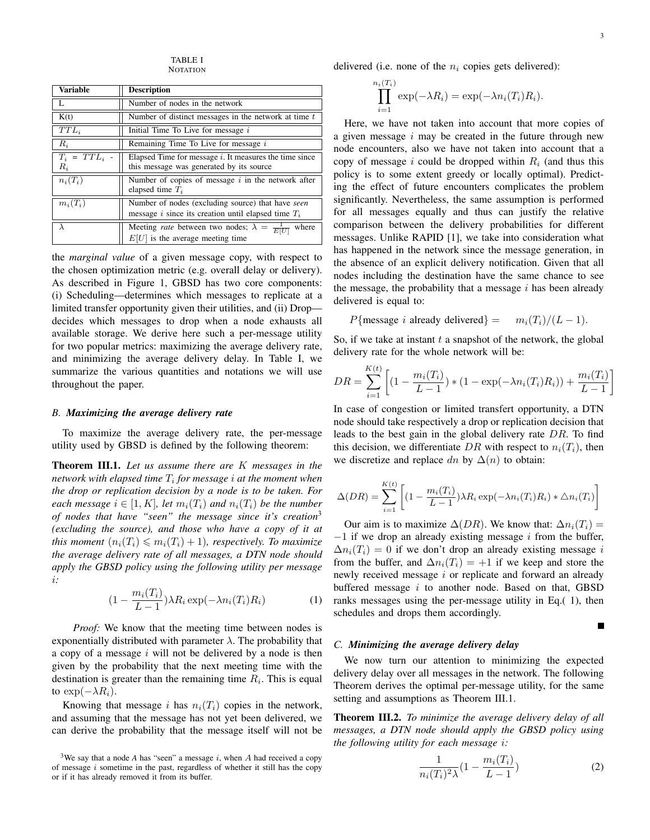TABLE I **NOTATION** 

| Variable               | <b>Description</b>                                                                                               |  |  |
|------------------------|------------------------------------------------------------------------------------------------------------------|--|--|
|                        | Number of nodes in the network                                                                                   |  |  |
| K(t)                   | Number of distinct messages in the network at time $t$                                                           |  |  |
| $TTL_i$                | Initial Time To Live for message $i$                                                                             |  |  |
| $R_i$                  | Remaining Time To Live for message i                                                                             |  |  |
| $T_i = TTL_i$<br>$R_i$ | Elapsed Time for message $i$ . It measures the time since<br>this message was generated by its source            |  |  |
| $n_i(T_i)$             | Number of copies of message $i$ in the network after<br>elapsed time $T_i$                                       |  |  |
| $m_i(T_i)$             | Number of nodes (excluding source) that have seen<br>message i since its creation until elapsed time $T_i$       |  |  |
| λ                      | Meeting <i>rate</i> between two nodes; $\lambda = \frac{1}{E[U]}$<br>where<br>$E[U]$ is the average meeting time |  |  |

the *marginal value* of a given message copy, with respect to the chosen optimization metric (e.g. overall delay or delivery). As described in Figure 1, GBSD has two core components: (i) Scheduling—determines which messages to replicate at a limited transfer opportunity given their utilities, and (ii) Drop decides which messages to drop when a node exhausts all available storage. We derive here such a per-message utility for two popular metrics: maximizing the average delivery rate, and minimizing the average delivery delay. In Table I, we summarize the various quantities and notations we will use throughout the paper.

### *B. Maximizing the average delivery rate*

To maximize the average delivery rate, the per-message utility used by GBSD is defined by the following theorem:

Theorem III.1. *Let us assume there are* K *messages in the network with elapsed time* T<sup>i</sup> *for message* i *at the moment when the drop or replication decision by a node is to be taken. For each message*  $i \in [1, K]$ *, let*  $m_i(T_i)$  *and*  $n_i(T_i)$  *be the number of nodes that have "seen" the message since it's creation*<sup>3</sup> *(excluding the source), and those who have a copy of it at this moment*  $(n_i(T_i) \leq m_i(T_i) + 1)$ *, respectively. To maximize the average delivery rate of all messages, a DTN node should apply the GBSD policy using the following utility per message* i*:*

$$
(1 - \frac{m_i(T_i)}{L - 1}) \lambda R_i \exp(-\lambda n_i(T_i) R_i)
$$
 (1)

*Proof:* We know that the meeting time between nodes is exponentially distributed with parameter  $\lambda$ . The probability that a copy of a message  $i$  will not be delivered by a node is then given by the probability that the next meeting time with the destination is greater than the remaining time  $R_i$ . This is equal to  $\exp(-\lambda R_i)$ .

Knowing that message i has  $n_i(T_i)$  copies in the network, and assuming that the message has not yet been delivered, we can derive the probability that the message itself will not be delivered (i.e. none of the  $n_i$  copies gets delivered):

$$
\prod_{i=1}^{n_i(T_i)} \exp(-\lambda R_i) = \exp(-\lambda n_i(T_i)R_i).
$$

Here, we have not taken into account that more copies of a given message  $i$  may be created in the future through new node encounters, also we have not taken into account that a copy of message i could be dropped within  $R_i$  (and thus this policy is to some extent greedy or locally optimal). Predicting the effect of future encounters complicates the problem significantly. Nevertheless, the same assumption is performed for all messages equally and thus can justify the relative comparison between the delivery probabilities for different messages. Unlike RAPID [1], we take into consideration what has happened in the network since the message generation, in the absence of an explicit delivery notification. Given that all nodes including the destination have the same chance to see the message, the probability that a message  $i$  has been already delivered is equal to:

P{message *i* already delivered} =  $m_i(T_i)/(L-1)$ .

So, if we take at instant  $t$  a snapshot of the network, the global delivery rate for the whole network will be:

$$
DR = \sum_{i=1}^{K(t)} \left[ (1 - \frac{m_i(T_i)}{L - 1}) * (1 - \exp(-\lambda n_i(T_i)R_i)) + \frac{m_i(T_i)}{L - 1} \right]
$$

In case of congestion or limited transfert opportunity, a DTN node should take respectively a drop or replication decision that leads to the best gain in the global delivery rate  $DR$ . To find this decision, we differentiate DR with respect to  $n_i(T_i)$ , then we discretize and replace dn by  $\Delta(n)$  to obtain:

$$
\Delta(DR) = \sum_{i=1}^{K(t)} \left[ (1 - \frac{m_i(T_i)}{L - 1}) \lambda R_i \exp(-\lambda n_i(T_i) R_i) * \Delta n_i(T_i) \right]
$$

Our aim is to maximize  $\Delta(DR)$ . We know that:  $\Delta n_i(T_i)$  =  $-1$  if we drop an already existing message i from the buffer,  $\Delta n_i(T_i) = 0$  if we don't drop an already existing message i from the buffer, and  $\Delta n_i(T_i) = +1$  if we keep and store the newly received message *i* or replicate and forward an already buffered message  $i$  to another node. Based on that, GBSD ranks messages using the per-message utility in Eq.( 1), then schedules and drops them accordingly.

$$
\blacksquare
$$

### *C. Minimizing the average delivery delay*

We now turn our attention to minimizing the expected delivery delay over all messages in the network. The following Theorem derives the optimal per-message utility, for the same setting and assumptions as Theorem III.1.

Theorem III.2. *To minimize the average delivery delay of all messages, a DTN node should apply the GBSD policy using the following utility for each message* i*:*

$$
\frac{1}{n_i(T_i)^2 \lambda} (1 - \frac{m_i(T_i)}{L - 1})
$$
\n(2)

<sup>&</sup>lt;sup>3</sup>We say that a node *A* has "seen" a message  $i$ , when  $A$  had received a copy of message  $i$  sometime in the past, regardless of whether it still has the copy or if it has already removed it from its buffer.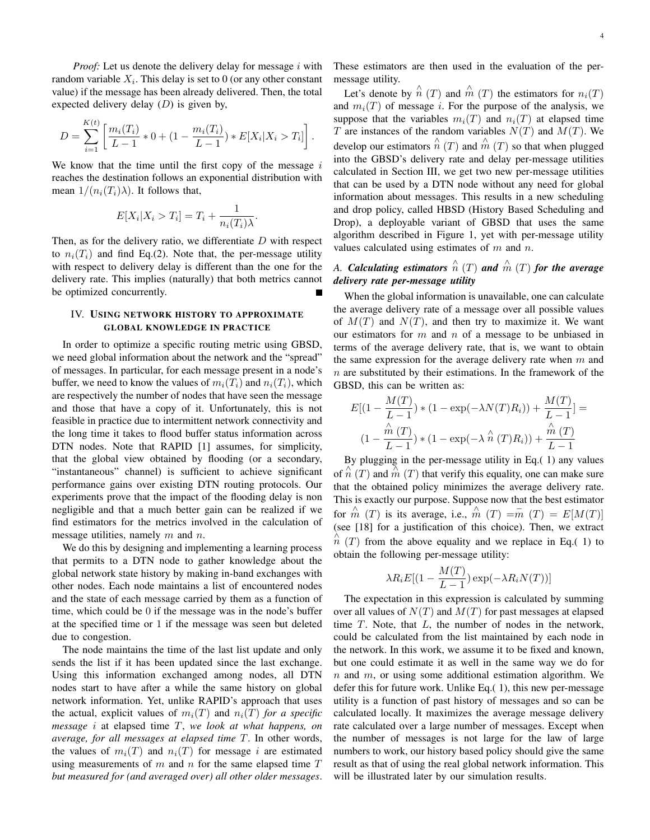*Proof:* Let us denote the delivery delay for message i with random variable  $X_i$ . This delay is set to 0 (or any other constant value) if the message has been already delivered. Then, the total expected delivery delay  $(D)$  is given by,

$$
D = \sum_{i=1}^{K(t)} \left[ \frac{m_i(T_i)}{L-1} * 0 + (1 - \frac{m_i(T_i)}{L-1}) * E[X_i | X_i > T_i] \right].
$$

We know that the time until the first copy of the message  $i$ reaches the destination follows an exponential distribution with mean  $1/(n_i(T_i)\lambda)$ . It follows that,

$$
E[X_i|X_i > T_i] = T_i + \frac{1}{n_i(T_i)\lambda}.
$$

Then, as for the delivery ratio, we differentiate  $D$  with respect to  $n_i(T_i)$  and find Eq.(2). Note that, the per-message utility with respect to delivery delay is different than the one for the delivery rate. This implies (naturally) that both metrics cannot be optimized concurrently.

# IV. USING NETWORK HISTORY TO APPROXIMATE GLOBAL KNOWLEDGE IN PRACTICE

In order to optimize a specific routing metric using GBSD, we need global information about the network and the "spread" of messages. In particular, for each message present in a node's buffer, we need to know the values of  $m_i(T_i)$  and  $n_i(T_i)$ , which are respectively the number of nodes that have seen the message and those that have a copy of it. Unfortunately, this is not feasible in practice due to intermittent network connectivity and the long time it takes to flood buffer status information across DTN nodes. Note that RAPID [1] assumes, for simplicity, that the global view obtained by flooding (or a secondary, "instantaneous" channel) is sufficient to achieve significant performance gains over existing DTN routing protocols. Our experiments prove that the impact of the flooding delay is non negligible and that a much better gain can be realized if we find estimators for the metrics involved in the calculation of message utilities, namely  $m$  and  $n$ .

We do this by designing and implementing a learning process that permits to a DTN node to gather knowledge about the global network state history by making in-band exchanges with other nodes. Each node maintains a list of encountered nodes and the state of each message carried by them as a function of time, which could be 0 if the message was in the node's buffer at the specified time or 1 if the message was seen but deleted due to congestion.

The node maintains the time of the last list update and only sends the list if it has been updated since the last exchange. Using this information exchanged among nodes, all DTN nodes start to have after a while the same history on global network information. Yet, unlike RAPID's approach that uses the actual, explicit values of  $m_i(T)$  and  $n_i(T)$  *for a specific message* i at elapsed time T, *we look at what happens, on average, for all messages at elapsed time* T. In other words, the values of  $m_i(T)$  and  $n_i(T)$  for message i are estimated using measurements of  $m$  and  $n$  for the same elapsed time  $T$ *but measured for (and averaged over) all other older messages*. These estimators are then used in the evaluation of the permessage utility.

Let's denote by  $\hat{n}(T)$  and  $\hat{m}(T)$  the estimators for  $n_i(T)$ and  $m_i(T)$  of message *i*. For the purpose of the analysis, we suppose that the variables  $m_i(T)$  and  $n_i(T)$  at elapsed time T are instances of the random variables  $N(T)$  and  $M(T)$ . We develop our estimators  $\hat{n}(T)$  and  $\hat{m}(T)$  so that when plugged into the GBSD's delivery rate and delay per-message utilities calculated in Section III, we get two new per-message utilities that can be used by a DTN node without any need for global information about messages. This results in a new scheduling and drop policy, called HBSD (History Based Scheduling and Drop), a deployable variant of GBSD that uses the same algorithm described in Figure 1, yet with per-message utility values calculated using estimates of  $m$  and  $n$ .

# A. Calculating estimators  $\stackrel{\wedge}{n}(T)$  and  $\stackrel{\wedge}{m}(T)$  for the average *delivery rate per-message utility*

When the global information is unavailable, one can calculate the average delivery rate of a message over all possible values of  $M(T)$  and  $N(T)$ , and then try to maximize it. We want our estimators for  $m$  and  $n$  of a message to be unbiased in terms of the average delivery rate, that is, we want to obtain the same expression for the average delivery rate when  $m$  and  $n$  are substituted by their estimations. In the framework of the GBSD, this can be written as:

$$
E[(1 - \frac{M(T)}{L - 1}) * (1 - \exp(-\lambda N(T)R_i)) + \frac{M(T)}{L - 1}] =
$$
  

$$
(1 - \frac{\hat{m}(T)}{L - 1}) * (1 - \exp(-\lambda \hat{n}(T)R_i)) + \frac{\hat{m}(T)}{L - 1}
$$

By plugging in the per-message utility in Eq.( 1) any values of  $\overrightarrow{n}(T)$  and  $\overrightarrow{m}(T)$  that verify this equality, one can make sure that the obtained policy minimizes the average delivery rate. This is exactly our purpose. Suppose now that the best estimator for  $\hat{m}$  (T) is its average, i.e.,  $\hat{m}$  (T)  $=\overline{m}$  (T)  $=E[M(T)]$ (see [18] for a justification of this choice). Then, we extract  $\hat{n}$  (T) from the above equality and we replace in Eq.( 1) to obtain the following per-message utility:

$$
\lambda R_i E[(1 - \frac{M(T)}{L - 1}) \exp(-\lambda R_i N(T))]
$$

The expectation in this expression is calculated by summing over all values of  $N(T)$  and  $M(T)$  for past messages at elapsed time  $T$ . Note, that  $L$ , the number of nodes in the network, could be calculated from the list maintained by each node in the network. In this work, we assume it to be fixed and known, but one could estimate it as well in the same way we do for  $n$  and  $m$ , or using some additional estimation algorithm. We defer this for future work. Unlike Eq.( 1), this new per-message utility is a function of past history of messages and so can be calculated locally. It maximizes the average message delivery rate calculated over a large number of messages. Except when the number of messages is not large for the law of large numbers to work, our history based policy should give the same result as that of using the real global network information. This will be illustrated later by our simulation results.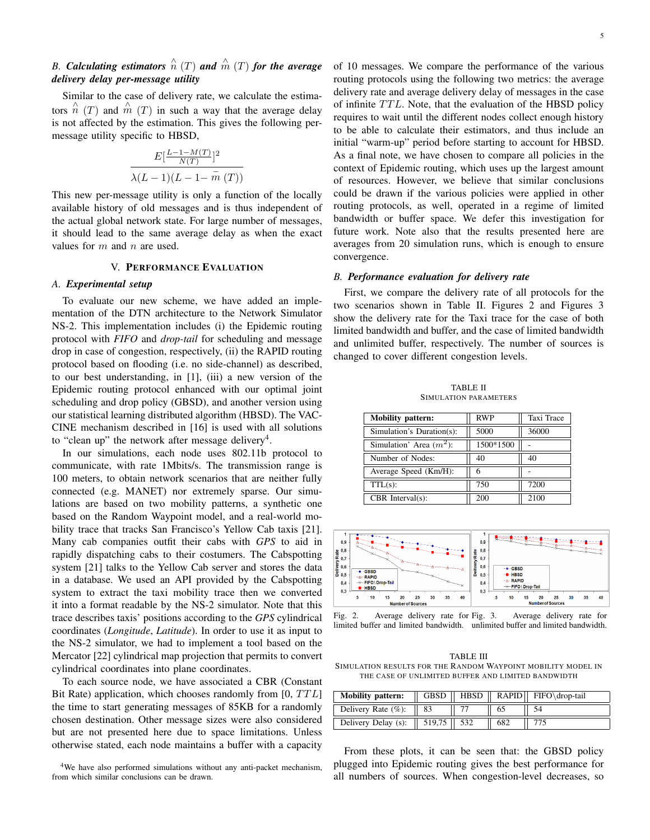# B. Calculating estimators  $\stackrel{\wedge}{n}(T)$  and  $\stackrel{\wedge}{m}(T)$  for the average *delivery delay per-message utility*

Similar to the case of delivery rate, we calculate the estimators  $\hat{n}$  (T) and  $\hat{m}$  (T) in such a way that the average delay is not affected by the estimation. This gives the following permessage utility specific to HBSD,

$$
\frac{E\left[\frac{L-1-M(T)}{N(T)}\right]^2}{\lambda(L-1)(L-1-\overline{m}(T))}
$$

This new per-message utility is only a function of the locally available history of old messages and is thus independent of the actual global network state. For large number of messages, it should lead to the same average delay as when the exact values for  $m$  and  $n$  are used.

# V. PERFORMANCE EVALUATION

### *A. Experimental setup*

To evaluate our new scheme, we have added an implementation of the DTN architecture to the Network Simulator NS-2. This implementation includes (i) the Epidemic routing protocol with *FIFO* and *drop-tail* for scheduling and message drop in case of congestion, respectively, (ii) the RAPID routing protocol based on flooding (i.e. no side-channel) as described, to our best understanding, in [1], (iii) a new version of the Epidemic routing protocol enhanced with our optimal joint scheduling and drop policy (GBSD), and another version using our statistical learning distributed algorithm (HBSD). The VAC-CINE mechanism described in [16] is used with all solutions to "clean up" the network after message delivery<sup>4</sup>.

In our simulations, each node uses 802.11b protocol to communicate, with rate 1Mbits/s. The transmission range is 100 meters, to obtain network scenarios that are neither fully connected (e.g. MANET) nor extremely sparse. Our simulations are based on two mobility patterns, a synthetic one based on the Random Waypoint model, and a real-world mobility trace that tracks San Francisco's Yellow Cab taxis [21]. Many cab companies outfit their cabs with *GPS* to aid in rapidly dispatching cabs to their costumers. The Cabspotting system [21] talks to the Yellow Cab server and stores the data in a database. We used an API provided by the Cabspotting system to extract the taxi mobility trace then we converted it into a format readable by the NS-2 simulator. Note that this trace describes taxis' positions according to the *GPS* cylindrical coordinates (*Longitude*, *Latitude*). In order to use it as input to the NS-2 simulator, we had to implement a tool based on the Mercator [22] cylindrical map projection that permits to convert cylindrical coordinates into plane coordinates.

To each source node, we have associated a CBR (Constant Bit Rate) application, which chooses randomly from  $[0, TTL]$ the time to start generating messages of 85KB for a randomly chosen destination. Other message sizes were also considered but are not presented here due to space limitations. Unless otherwise stated, each node maintains a buffer with a capacity

<sup>4</sup>We have also performed simulations without any anti-packet mechanism, from which similar conclusions can be drawn.

of 10 messages. We compare the performance of the various routing protocols using the following two metrics: the average delivery rate and average delivery delay of messages in the case of infinite  $TTL$ . Note, that the evaluation of the HBSD policy requires to wait until the different nodes collect enough history to be able to calculate their estimators, and thus include an initial "warm-up" period before starting to account for HBSD. As a final note, we have chosen to compare all policies in the context of Epidemic routing, which uses up the largest amount of resources. However, we believe that similar conclusions could be drawn if the various policies were applied in other routing protocols, as well, operated in a regime of limited bandwidth or buffer space. We defer this investigation for future work. Note also that the results presented here are averages from 20 simulation runs, which is enough to ensure convergence.

### *B. Performance evaluation for delivery rate*

First, we compare the delivery rate of all protocols for the two scenarios shown in Table II. Figures 2 and Figures 3 show the delivery rate for the Taxi trace for the case of both limited bandwidth and buffer, and the case of limited bandwidth and unlimited buffer, respectively. The number of sources is changed to cover different congestion levels.

TABLE II SIMULATION PARAMETERS

| <b>Mobility pattern:</b>   | <b>RWP</b> | Taxi Trace |
|----------------------------|------------|------------|
| Simulation's Duration(s):  | 5000       | 36000      |
| Simulation' Area $(m^2)$ : | 1500*1500  |            |
| Number of Nodes:           | 40         | 40         |
| Average Speed (Km/H):      | 6          |            |
| $TTL(s)$ :                 | 750        | 7200       |
| CBR Interval $(s)$ :       | 200        | 2100       |



Fig. 2. Average delivery rate for Fig. 3. limited buffer and limited bandwidth. unlimited buffer and limited bandwidth. Average delivery rate for

TABLE III SIMULATION RESULTS FOR THE RANDOM WAYPOINT MOBILITY MODEL IN THE CASE OF UNLIMITED BUFFER AND LIMITED BANDWIDTH

| <b>Mobility pattern:</b>           |  |     | $\parallel$ GBSD $\parallel$ HBSD $\parallel$ RAPID $\parallel$ FIFO\drop-tail |
|------------------------------------|--|-----|--------------------------------------------------------------------------------|
| Delivery Rate $(\%):$   83         |  |     |                                                                                |
| Delivery Delay (s):   519,75   532 |  | 682 |                                                                                |

From these plots, it can be seen that: the GBSD policy plugged into Epidemic routing gives the best performance for all numbers of sources. When congestion-level decreases, so